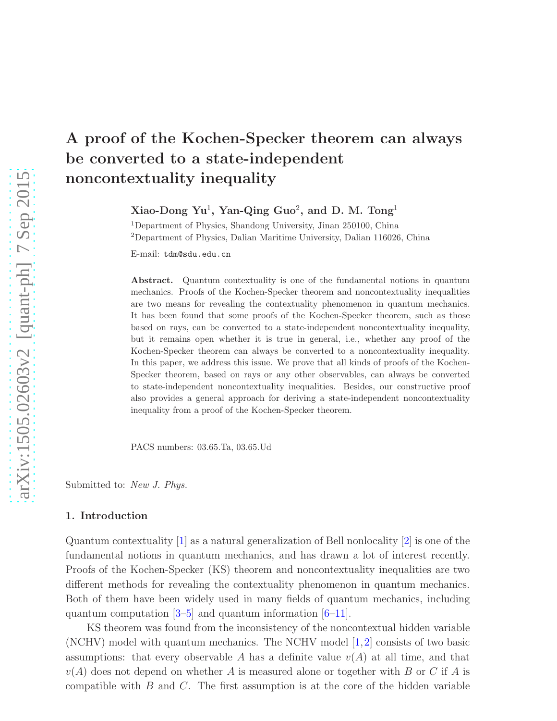# A proof of the Kochen-Specker theorem can always be converted to a state-independent noncontextuality inequality

Xiao-Dong Yu<sup>1</sup>, Yan-Qing Guo<sup>2</sup>, and D. M. Tong<sup>1</sup>

<sup>1</sup>Department of Physics, Shandong University, Jinan 250100, China <sup>2</sup>Department of Physics, Dalian Maritime University, Dalian 116026, China

E-mail: tdm@sdu.edu.cn

Abstract. Quantum contextuality is one of the fundamental notions in quantum mechanics. Proofs of the Kochen-Specker theorem and noncontextuality inequalities are two means for revealing the contextuality phenomenon in quantum mechanics. It has been found that some proofs of the Kochen-Specker theorem, such as those based on rays, can be converted to a state-independent noncontextuality inequality, but it remains open whether it is true in general, i.e., whether any proof of the Kochen-Specker theorem can always be converted to a noncontextuality inequality. In this paper, we address this issue. We prove that all kinds of proofs of the Kochen-Specker theorem, based on rays or any other observables, can always be converted to state-independent noncontextuality inequalities. Besides, our constructive proof also provides a general approach for deriving a state-independent noncontextuality inequality from a proof of the Kochen-Specker theorem.

PACS numbers: 03.65.Ta, 03.65.Ud

Submitted to: *New J. Phys.*

# 1. Introduction

Quantum contextuality [\[1\]](#page-8-0) as a natural generalization of Bell nonlocality [\[2\]](#page-8-1) is one of the fundamental notions in quantum mechanics, and has drawn a lot of interest recently. Proofs of the Kochen-Specker (KS) theorem and noncontextuality inequalities are two different methods for revealing the contextuality phenomenon in quantum mechanics. Both of them have been widely used in many fields of quantum mechanics, including quantum computation  $[3-5]$  $[3-5]$  and quantum information  $[6-11]$ .

KS theorem was found from the inconsistency of the noncontextual hidden variable (NCHV) model with quantum mechanics. The NCHV model  $[1,2]$  $[1,2]$  consists of two basic assumptions: that every observable A has a definite value  $v(A)$  at all time, and that  $v(A)$  does not depend on whether A is measured alone or together with B or C if A is compatible with  $B$  and  $C$ . The first assumption is at the core of the hidden variable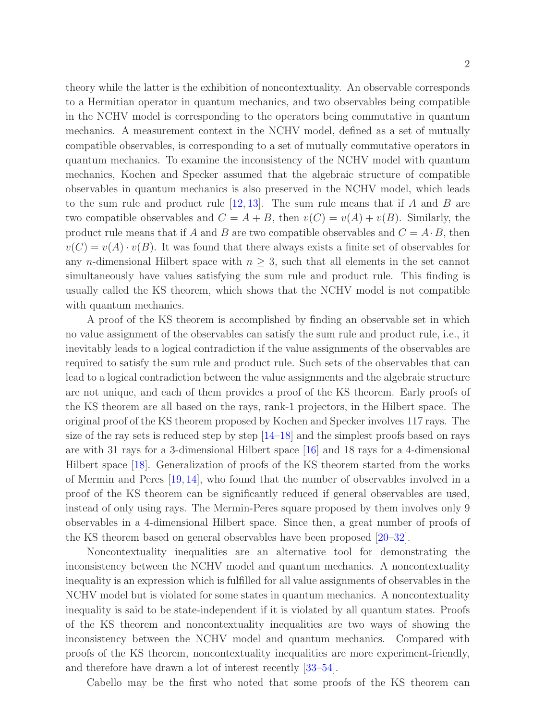theory while the latter is the exhibition of noncontextuality. An observable corresponds to a Hermitian operator in quantum mechanics, and two observables being compatible in the NCHV model is corresponding to the operators being commutative in quantum mechanics. A measurement context in the NCHV model, defined as a set of mutually compatible observables, is corresponding to a set of mutually commutative operators in

quantum mechanics. To examine the inconsistency of the NCHV model with quantum mechanics, Kochen and Specker assumed that the algebraic structure of compatible observables in quantum mechanics is also preserved in the NCHV model, which leads to the sum rule and product rule  $[12, 13]$  $[12, 13]$ . The sum rule means that if A and B are two compatible observables and  $C = A + B$ , then  $v(C) = v(A) + v(B)$ . Similarly, the product rule means that if A and B are two compatible observables and  $C = A \cdot B$ , then  $v(C) = v(A) \cdot v(B)$ . It was found that there always exists a finite set of observables for any n-dimensional Hilbert space with  $n \geq 3$ , such that all elements in the set cannot simultaneously have values satisfying the sum rule and product rule. This finding is usually called the KS theorem, which shows that the NCHV model is not compatible with quantum mechanics.

A proof of the KS theorem is accomplished by finding an observable set in which no value assignment of the observables can satisfy the sum rule and product rule, i.e., it inevitably leads to a logical contradiction if the value assignments of the observables are required to satisfy the sum rule and product rule. Such sets of the observables that can lead to a logical contradiction between the value assignments and the algebraic structure are not unique, and each of them provides a proof of the KS theorem. Early proofs of the KS theorem are all based on the rays, rank-1 projectors, in the Hilbert space. The original proof of the KS theorem proposed by Kochen and Specker involves 117 rays. The size of the ray sets is reduced step by step [\[14–](#page-8-8)[18\]](#page-8-9) and the simplest proofs based on rays are with 31 rays for a 3-dimensional Hilbert space [\[16\]](#page-8-10) and 18 rays for a 4-dimensional Hilbert space [\[18\]](#page-8-9). Generalization of proofs of the KS theorem started from the works of Mermin and Peres [\[19,](#page-8-11) [14\]](#page-8-8), who found that the number of observables involved in a proof of the KS theorem can be significantly reduced if general observables are used, instead of only using rays. The Mermin-Peres square proposed by them involves only 9 observables in a 4-dimensional Hilbert space. Since then, a great number of proofs of the KS theorem based on general observables have been proposed [\[20](#page-8-12)[–32\]](#page-9-0).

Noncontextuality inequalities are an alternative tool for demonstrating the inconsistency between the NCHV model and quantum mechanics. A noncontextuality inequality is an expression which is fulfilled for all value assignments of observables in the NCHV model but is violated for some states in quantum mechanics. A noncontextuality inequality is said to be state-independent if it is violated by all quantum states. Proofs of the KS theorem and noncontextuality inequalities are two ways of showing the inconsistency between the NCHV model and quantum mechanics. Compared with proofs of the KS theorem, noncontextuality inequalities are more experiment-friendly, and therefore have drawn a lot of interest recently [\[33](#page-9-1)[–54\]](#page-9-2).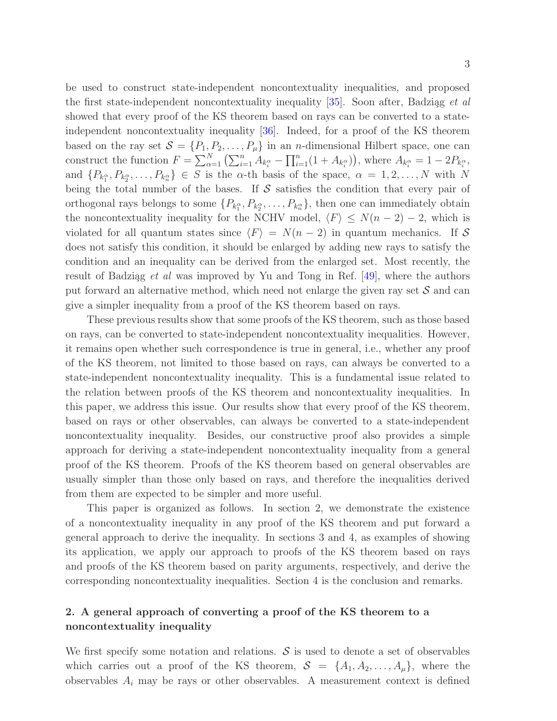be used to construct state-independent noncontextuality inequalities, and proposed the first state-independent noncontextuality inequality [\[35\]](#page-9-3). Soon after, Badziag *et al* showed that every proof of the KS theorem based on rays can be converted to a stateindependent noncontextuality inequality [\[36\]](#page-9-4). Indeed, for a proof of the KS theorem based on the ray set  $S = \{P_1, P_2, \ldots, P_\mu\}$  in an *n*-dimensional Hilbert space, one can construct the function  $F = \sum_{\alpha=1}^{N} \left( \sum_{i=1}^{n} A_{k_i^{\alpha}} - \prod_{i=1}^{n} (1 + A_{k_i^{\alpha}}) \right)$ , where  $A_{k_i^{\alpha}} = 1 - 2P_{k_i^{\alpha}}$ , and  $\{P_{k_1^{\alpha}}, P_{k_2^{\alpha}}, \ldots, P_{k_n^{\alpha}}\} \in S$  is the  $\alpha$ -th basis of the space,  $\alpha = 1, 2, \ldots, N$  with N being the total number of the bases. If  $\mathcal S$  satisfies the condition that every pair of orthogonal rays belongs to some  $\{P_{k_1^{\alpha}}, P_{k_2^{\alpha}}, \ldots, P_{k_n^{\alpha}}\}$ , then one can immediately obtain the noncontextuality inequality for the NCHV model,  $\langle F \rangle \leq N(n-2) - 2$ , which is violated for all quantum states since  $\langle F \rangle = N(n-2)$  in quantum mechanics. If S does not satisfy this condition, it should be enlarged by adding new rays to satisfy the condition and an inequality can be derived from the enlarged set. Most recently, the result of Badziąg *et al* was improved by Yu and Tong in Ref.  $[49]$ , where the authors put forward an alternative method, which need not enlarge the given ray set  $\mathcal S$  and can give a simpler inequality from a proof of the KS theorem based on rays.

These previous results show that some proofs of the KS theorem, such as those based on rays, can be converted to state-independent noncontextuality inequalities. However, it remains open whether such correspondence is true in general, i.e., whether any proof of the KS theorem, not limited to those based on rays, can always be converted to a state-independent noncontextuality inequality. This is a fundamental issue related to the relation between proofs of the KS theorem and noncontextuality inequalities. In this paper, we address this issue. Our results show that every proof of the KS theorem, based on rays or other observables, can always be converted to a state-independent noncontextuality inequality. Besides, our constructive proof also provides a simple approach for deriving a state-independent noncontextuality inequality from a general proof of the KS theorem. Proofs of the KS theorem based on general observables are usually simpler than those only based on rays, and therefore the inequalities derived from them are expected to be simpler and more useful.

This paper is organized as follows. In section 2, we demonstrate the existence of a noncontextuality inequality in any proof of the KS theorem and put forward a general approach to derive the inequality. In sections 3 and 4, as examples of showing its application, we apply our approach to proofs of the KS theorem based on rays and proofs of the KS theorem based on parity arguments, respectively, and derive the corresponding noncontextuality inequalities. Section 4 is the conclusion and remarks.

# 2. A general approach of converting a proof of the KS theorem to a noncontextuality inequality

We first specify some notation and relations.  $\mathcal S$  is used to denote a set of observables which carries out a proof of the KS theorem,  $S = \{A_1, A_2, \ldots, A_\mu\}$ , where the observables  $A_i$  may be rays or other observables. A measurement context is defined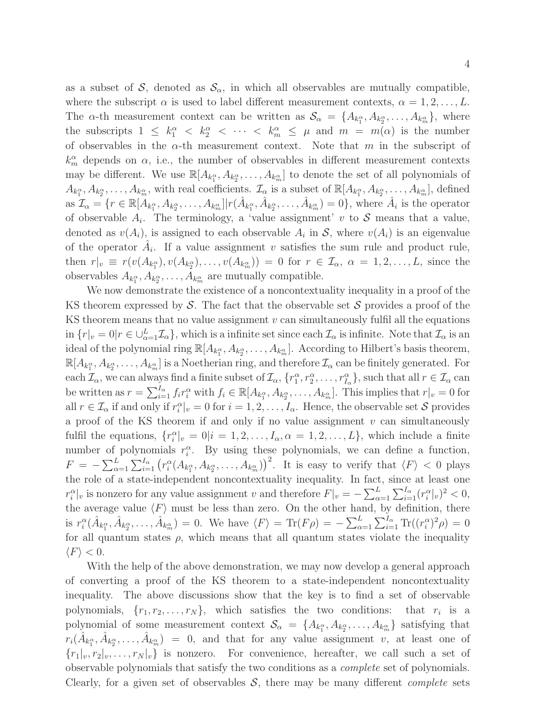as a subset of S, denoted as  $\mathcal{S}_{\alpha}$ , in which all observables are mutually compatible, where the subscript  $\alpha$  is used to label different measurement contexts,  $\alpha = 1, 2, \ldots, L$ . The  $\alpha$ -th measurement context can be written as  $\mathcal{S}_{\alpha} = \{A_{k_1^{\alpha}}, A_{k_2^{\alpha}}, \ldots, A_{k_m^{\alpha}}\}$ , where the subscripts  $1 \leq k_1^{\alpha} < k_2^{\alpha} < \cdots < k_m^{\alpha} \leq \mu$  and  $m = m(\alpha)$  is the number of observables in the  $\alpha$ -th measurement context. Note that m in the subscript of  $k_m^{\alpha}$  depends on  $\alpha$ , i.e., the number of observables in different measurement contexts may be different. We use  $\mathbb{R}[A_{k_1^{\alpha}}, A_{k_2^{\alpha}}, \ldots, A_{k_m^{\alpha}}]$  to denote the set of all polynomials of  $A_{k_1^{\alpha}}, A_{k_2^{\alpha}}, \ldots, A_{k_m^{\alpha}}$ , with real coefficients.  $\mathcal{I}_{\alpha}$  is a subset of  $\mathbb{R}[A_{k_1^{\alpha}}, A_{k_2^{\alpha}}, \ldots, A_{k_m^{\alpha}}]$ , defined as  $\mathcal{I}_{\alpha} = \{r \in \mathbb{R}[A_{k_1^{\alpha}}, A_{k_2^{\alpha}}, \dots, A_{k_m^{\alpha}}] | r(\hat{A}_{k_1^{\alpha}}, \hat{A}_{k_2^{\alpha}}, \dots, \hat{A}_{k_m^{\alpha}}) = 0\}$ , where  $\hat{A}_i$  is the operator of observable  $A_i$ . The terminology, a 'value assignment' v to S means that a value, denoted as  $v(A_i)$ , is assigned to each observable  $A_i$  in S, where  $v(A_i)$  is an eigenvalue of the operator  $\hat{A}_i$ . If a value assignment v satisfies the sum rule and product rule, then  $r|_v \equiv r(v(A_{k_1^{\alpha}}), v(A_{k_2^{\alpha}}), \ldots, v(A_{k_m^{\alpha}})) = 0$  for  $r \in \mathcal{I}_{\alpha}, \alpha = 1, 2, \ldots, L$ , since the observables  $A_{k_1^{\alpha}}, A_{k_2^{\alpha}}, \ldots, A_{k_m^{\alpha}}$  are mutually compatible.

We now demonstrate the existence of a noncontextuality inequality in a proof of the KS theorem expressed by S. The fact that the observable set  $S$  provides a proof of the KS theorem means that no value assignment  $v$  can simultaneously fulfil all the equations in  $\{r|_v=0|r\in\bigcup_{\alpha=1}^L\mathcal{I}_\alpha\}$ , which is a infinite set since each  $\mathcal{I}_\alpha$  is infinite. Note that  $\mathcal{I}_\alpha$  is an ideal of the polynomial ring  $\mathbb{R}[A_{k_1^{\alpha}}, A_{k_2^{\alpha}}, \ldots, A_{k_m^{\alpha}}]$ . According to Hilbert's basis theorem,  $\mathbb{R}[A_{k_1^{\alpha}},A_{k_2^{\alpha}},\ldots,A_{k_m^{\alpha}}]$  is a Noetherian ring, and therefore  $\mathcal{I}_{\alpha}$  can be finitely generated. For each  $\mathcal{I}_{\alpha}$ , we can always find a finite subset of  $\mathcal{I}_{\alpha}$ ,  $\{r_1^{\alpha}, r_2^{\alpha}, \ldots, r_{I_{\alpha}}^{\alpha}\}$ , such that all  $r \in \mathcal{I}_{\alpha}$  can be written as  $r = \sum_{i=1}^{I_{\alpha}} f_i r_i^{\alpha}$  with  $f_i \in \mathbb{R}[A_{k_1^{\alpha}}, A_{k_2^{\alpha}}, \dots, A_{k_m^{\alpha}}]$ . This implies that  $r|_v = 0$  for all  $r \in \mathcal{I}_\alpha$  if and only if  $r_i^\alpha|_v = 0$  for  $i = 1, 2, \ldots, I_\alpha$ . Hence, the observable set S provides a proof of the KS theorem if and only if no value assignment  $v$  can simultaneously fulfil the equations,  $\{r_i^{\alpha}|_v = 0 | i = 1, 2, ..., I_{\alpha}, \alpha = 1, 2, ..., L\}$ , which include a finite number of polynomials  $r_i^{\alpha}$ . By using these polynomials, we can define a function,  $F = -\sum_{\alpha=1}^L \sum_{i=1}^{I_\alpha} (r_i^{\alpha}(A_{k_1^{\alpha}}, A_{k_2^{\alpha}}, \dots, A_{k_m^{\alpha}}))^2$ . It is easy to verify that  $\langle F \rangle < 0$  plays the role of a state-independent noncontextuality inequality. In fact, since at least one  $r_i^{\alpha}|_v$  is nonzero for any value assignment v and therefore  $F|_v = -\sum_{\alpha=1}^L \sum_{i=1}^{I_{\alpha}} (r_i^{\alpha}|_v)^2 < 0$ , the average value  $\langle F \rangle$  must be less than zero. On the other hand, by definition, there is  $r_i^{\alpha}(\hat{A}_{k_1^{\alpha}}, \hat{A}_{k_2^{\alpha}}, \dots, \hat{A}_{k_m^{\alpha}}) = 0$ . We have  $\langle F \rangle = \text{Tr}(F\rho) = -\sum_{\alpha=1}^{L} \sum_{i=1}^{I_{\alpha}} \text{Tr}((r_i^{\alpha})^2 \rho) = 0$ for all quantum states  $\rho$ , which means that all quantum states violate the inequality  $\langle F \rangle < 0.$ 

With the help of the above demonstration, we may now develop a general approach of converting a proof of the KS theorem to a state-independent noncontextuality inequality. The above discussions show that the key is to find a set of observable polynomials,  $\{r_1, r_2, \ldots, r_N\}$ , which satisfies the two conditions: that  $r_i$  is a polynomial of some measurement context  $\mathcal{S}_{\alpha} = \{A_{k_1^{\alpha}}, A_{k_2^{\alpha}}, \ldots, A_{k_m^{\alpha}}\}$  satisfying that  $r_i(\hat{A}_{k_1^{\alpha}}, \hat{A}_{k_2^{\alpha}}, \ldots, \hat{A}_{k_m^{\alpha}}) = 0$ , and that for any value assignment v, at least one of  ${r_1|_v, r_2|_v, \ldots, r_N|_v}$  is nonzero. For convenience, hereafter, we call such a set of observable polynomials that satisfy the two conditions as a complete set of polynomials. Clearly, for a given set of observables  $S$ , there may be many different *complete* sets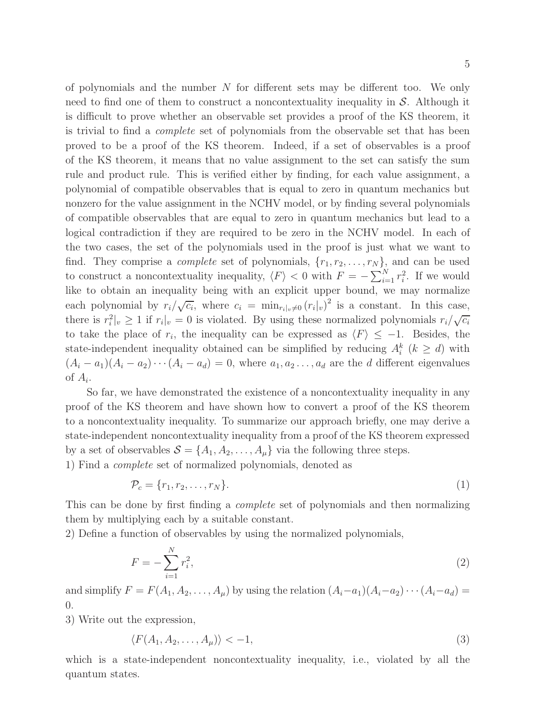5

of polynomials and the number  $N$  for different sets may be different too. We only need to find one of them to construct a noncontextuality inequality in  $S$ . Although it is difficult to prove whether an observable set provides a proof of the KS theorem, it is trivial to find a complete set of polynomials from the observable set that has been proved to be a proof of the KS theorem. Indeed, if a set of observables is a proof of the KS theorem, it means that no value assignment to the set can satisfy the sum rule and product rule. This is verified either by finding, for each value assignment, a polynomial of compatible observables that is equal to zero in quantum mechanics but nonzero for the value assignment in the NCHV model, or by finding several polynomials of compatible observables that are equal to zero in quantum mechanics but lead to a logical contradiction if they are required to be zero in the NCHV model. In each of the two cases, the set of the polynomials used in the proof is just what we want to find. They comprise a *complete* set of polynomials,  $\{r_1, r_2, \ldots, r_N\}$ , and can be used to construct a noncontextuality inequality,  $\langle F \rangle < 0$  with  $F = -\sum_{i=1}^{N} r_i^2$ . If we would like to obtain an inequality being with an explicit upper bound, we may normalize each polynomial by  $r_i/\sqrt{c_i}$ , where  $c_i = \min_{r_i|v \neq 0} (r_i|v)^2$  is a constant. In this case, there is  $r_i^2|_v \ge 1$  if  $r_i|_v = 0$  is violated. By using these normalized polynomials  $r_i/\sqrt{c_i}$ to take the place of  $r_i$ , the inequality can be expressed as  $\langle F \rangle \leq -1$ . Besides, the state-independent inequality obtained can be simplified by reducing  $A_i^k$  ( $k \ge d$ ) with  $(A_i - a_1)(A_i - a_2) \cdots (A_i - a_d) = 0$ , where  $a_1, a_2 \ldots, a_d$  are the d different eigenvalues of  $A_i$ .

So far, we have demonstrated the existence of a noncontextuality inequality in any proof of the KS theorem and have shown how to convert a proof of the KS theorem to a noncontextuality inequality. To summarize our approach briefly, one may derive a state-independent noncontextuality inequality from a proof of the KS theorem expressed by a set of observables  $S = \{A_1, A_2, \ldots, A_\mu\}$  via the following three steps.

1) Find a complete set of normalized polynomials, denoted as

<span id="page-4-1"></span>
$$
\mathcal{P}_c = \{r_1, r_2, \dots, r_N\}.\tag{1}
$$

This can be done by first finding a complete set of polynomials and then normalizing them by multiplying each by a suitable constant.

2) Define a function of observables by using the normalized polynomials,

<span id="page-4-0"></span>
$$
F = -\sum_{i=1}^{N} r_i^2,
$$
\n(2)

and simplify  $F = F(A_1, A_2, \ldots, A_\mu)$  by using the relation  $(A_i - a_1)(A_i - a_2) \cdots (A_i - a_d) =$ 0.

3) Write out the expression,

<span id="page-4-2"></span>
$$
\langle F(A_1, A_2, \dots, A_\mu) \rangle < -1,\tag{3}
$$

which is a state-independent noncontextuality inequality, i.e., violated by all the quantum states.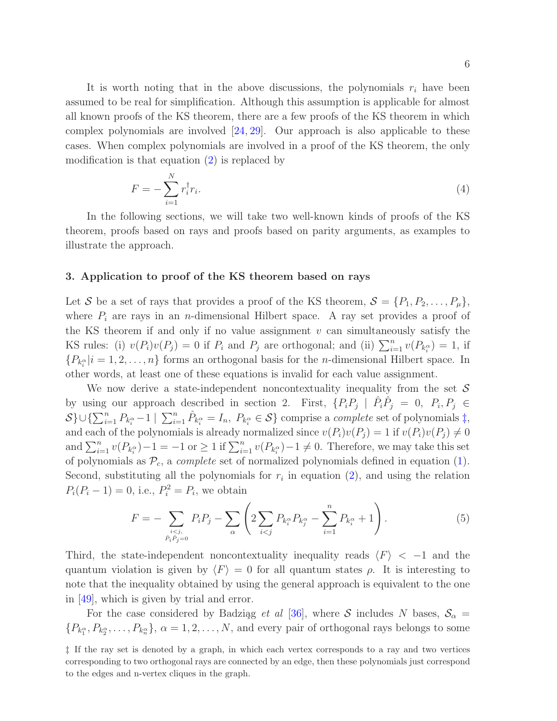It is worth noting that in the above discussions, the polynomials  $r_i$  have been assumed to be real for simplification. Although this assumption is applicable for almost all known proofs of the KS theorem, there are a few proofs of the KS theorem in which complex polynomials are involved  $[24, 29]$  $[24, 29]$ . Our approach is also applicable to these cases. When complex polynomials are involved in a proof of the KS theorem, the only modification is that equation  $(2)$  is replaced by

$$
F = -\sum_{i=1}^{N} r_i^{\dagger} r_i. \tag{4}
$$

In the following sections, we will take two well-known kinds of proofs of the KS theorem, proofs based on rays and proofs based on parity arguments, as examples to illustrate the approach.

# 3. Application to proof of the KS theorem based on rays

Let S be a set of rays that provides a proof of the KS theorem,  $S = \{P_1, P_2, \ldots, P_\mu\}$ , where  $P_i$  are rays in an *n*-dimensional Hilbert space. A ray set provides a proof of the KS theorem if and only if no value assignment  $v$  can simultaneously satisfy the KS rules: (i)  $v(P_i)v(P_j) = 0$  if  $P_i$  and  $P_j$  are orthogonal; and (ii)  $\sum_{i=1}^n v(P_{k_i^{\alpha}}) = 1$ , if  ${P_{k_i^{\alpha}}|i=1,2,\ldots,n}$  forms an orthogonal basis for the *n*-dimensional Hilbert space. In other words, at least one of these equations is invalid for each value assignment.

We now derive a state-independent noncontextuality inequality from the set  $\mathcal S$ by using our approach described in section 2. First,  $\{P_i P_j \mid \hat{P}_i \hat{P}_j = 0, P_i, P_j \in$  $S\} \cup {\sum_{i=1}^n P_{k_i^{\alpha}}-1} \mid \sum_{i=1}^n \hat{P}_{k_i^{\alpha}} = I_n, P_{k_i^{\alpha}} \in S$  comprise a *complete* set of polynomials [‡](#page-5-0), and each of the polynomials is already normalized since  $v(P_i)v(P_j) = 1$  if  $v(P_i)v(P_j) \neq 0$ and  $\sum_{i=1}^{n} v(P_{k_i^{\alpha}}) - 1 = -1$  or  $\geq 1$  if  $\sum_{i=1}^{n} v(P_{k_i^{\alpha}}) - 1 \neq 0$ . Therefore, we may take this set of polynomials as  $\mathcal{P}_c$ , a *complete* set of normalized polynomials defined in equation [\(1\)](#page-4-1). Second, substituting all the polynomials for  $r_i$  in equation [\(2\)](#page-4-0), and using the relation  $P_i(P_i - 1) = 0$ , i.e.,  $P_i^2 = P_i$ , we obtain

<span id="page-5-1"></span>
$$
F = -\sum_{\substack{i < j, \\ \hat{P}_i \hat{P}_j = 0}} P_i P_j - \sum_{\alpha} \left( 2 \sum_{i < j} P_{k_i^{\alpha}} P_{k_j^{\alpha}} - \sum_{i=1}^n P_{k_i^{\alpha}} + 1 \right). \tag{5}
$$

Third, the state-independent noncontextuality inequality reads  $\langle F \rangle$  < −1 and the quantum violation is given by  $\langle F \rangle = 0$  for all quantum states  $\rho$ . It is interesting to note that the inequality obtained by using the general approach is equivalent to the one in [\[49\]](#page-9-5), which is given by trial and error.

For the case considered by Badzigg *et al* [\[36\]](#page-9-4), where S includes N bases,  $S_\alpha$  =  $\{P_{k_1^{\alpha}}, P_{k_2^{\alpha}}, \ldots, P_{k_n^{\alpha}}\}, \alpha = 1, 2, \ldots, N$ , and every pair of orthogonal rays belongs to some

<span id="page-5-0"></span><sup>‡</sup> If the ray set is denoted by a graph, in which each vertex corresponds to a ray and two vertices corresponding to two orthogonal rays are connected by an edge, then these polynomials just correspond to the edges and n-vertex cliques in the graph.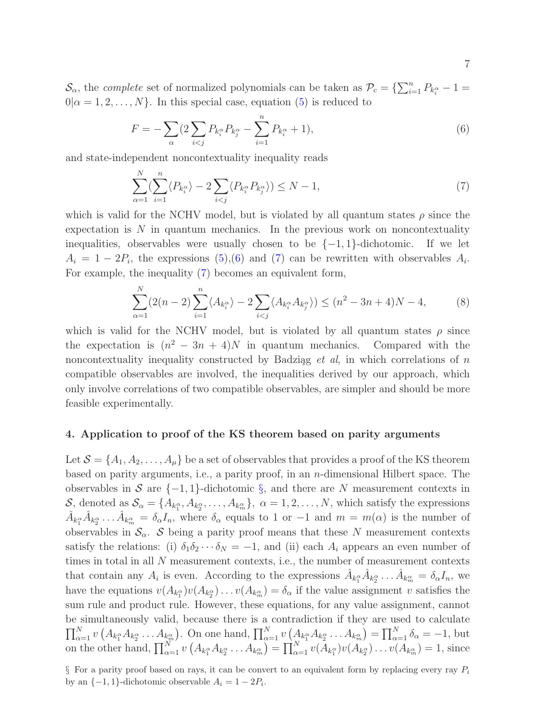$\mathcal{S}_{\alpha}$ , the *complete* set of normalized polynomials can be taken as  $\mathcal{P}_c = \{\sum_{i=1}^n P_{k_i^{\alpha}} - 1 =$  $0|\alpha = 1, 2, \ldots, N\}$ . In this special case, equation [\(5\)](#page-5-1) is reduced to

<span id="page-6-0"></span>
$$
F = -\sum_{\alpha} \left( 2 \sum_{i < j} P_{k_i^{\alpha}} P_{k_j^{\alpha}} - \sum_{i=1}^n P_{k_i^{\alpha}} + 1 \right),\tag{6}
$$

and state-independent noncontextuality inequality reads

<span id="page-6-1"></span>
$$
\sum_{\alpha=1}^{N} \langle \sum_{i=1}^{n} \langle P_{k_i^{\alpha}} \rangle - 2 \sum_{i < j} \langle P_{k_i^{\alpha}} P_{k_j^{\alpha}} \rangle \rangle \leq N - 1,\tag{7}
$$

which is valid for the NCHV model, but is violated by all quantum states  $\rho$  since the expectation is  $N$  in quantum mechanics. In the previous work on noncontextuality inequalities, observables were usually chosen to be  $\{-1,1\}$ -dichotomic. If we let  $A_i = 1 - 2P_i$ , the expressions [\(5\)](#page-5-1), [\(6\)](#page-6-0) and [\(7\)](#page-6-1) can be rewritten with observables  $A_i$ . For example, the inequality [\(7\)](#page-6-1) becomes an equivalent form,

$$
\sum_{\alpha=1}^{N} (2(n-2) \sum_{i=1}^{n} \langle A_{k_i^{\alpha}} \rangle - 2 \sum_{i < j} \langle A_{k_i^{\alpha}} A_{k_j^{\alpha}} \rangle) \le (n^2 - 3n + 4)N - 4,\tag{8}
$$

which is valid for the NCHV model, but is violated by all quantum states  $\rho$  since the expectation is  $(n^2 - 3n + 4)N$  in quantum mechanics. Compared with the noncontextuality inequality constructed by Badziag  $et \ al,$  in which correlations of n compatible observables are involved, the inequalities derived by our approach, which only involve correlations of two compatible observables, are simpler and should be more feasible experimentally.

#### 4. Application to proof of the KS theorem based on parity arguments

Let  $\mathcal{S} = \{A_1, A_2, \ldots, A_\mu\}$  be a set of observables that provides a proof of the KS theorem based on parity arguments, i.e., a parity proof, in an n-dimensional Hilbert space. The observables in S are  $\{-1,1\}$ -dichotomic [§](#page-6-2), and there are N measurement contexts in  $\mathcal{S}_{\alpha}$ , denoted as  $\mathcal{S}_{\alpha} = \{A_{k_1^{\alpha}}, A_{k_2^{\alpha}}, \ldots, A_{k_m^{\alpha}}\}, \alpha = 1, 2, \ldots, N$ , which satisfy the expressions  $\hat{A}_{k_1^{\alpha}}\hat{A}_{k_2^{\alpha}}\dots\hat{A}_{k_m^{\alpha}}=\delta_{\alpha}I_n$ , where  $\delta_{\alpha}$  equals to 1 or -1 and  $m=m(\alpha)$  is the number of observables in  $\mathcal{S}_{\alpha}$ . S being a parity proof means that these N measurement contexts satisfy the relations: (i)  $\delta_1 \delta_2 \cdots \delta_N = -1$ , and (ii) each  $A_i$  appears an even number of times in total in all N measurement contexts, i.e., the number of measurement contexts that contain any  $A_i$  is even. According to the expressions  $\hat{A}_{k_1^{\alpha}} \hat{A}_{k_2^{\alpha}} \dots \hat{A}_{k_m^{\alpha}} = \delta_{\alpha} I_n$ , we have the equations  $v(A_{k_1^{\alpha}})v(A_{k_2^{\alpha}})\ldots v(A_{k_m^{\alpha}})=\delta_{\alpha}$  if the value assignment v satisfies the sum rule and product rule. However, these equations, for any value assignment, cannot be simultaneously valid, because there is a contradiction if they are used to calculate  $\prod_{\alpha=1}^N v\left(A_{k_1^{\alpha}}A_{k_2^{\alpha}}\ldots A_{k_m^{\alpha}}\right)$ . On one hand,  $\prod_{\alpha=1}^N v\left(A_{k_1^{\alpha}}A_{k_2^{\alpha}}\ldots A_{k_m^{\alpha}}\right)=\prod_{\alpha=1}^N \delta_{\alpha}=-1$ , but on the other hand,  $\prod_{\alpha=1}^N v(A_{k_1^{\alpha}}A_{k_2^{\alpha}}\ldots A_{k_m^{\alpha}})=\prod_{\alpha=1}^N v(A_{k_1^{\alpha}})v(A_{k_2^{\alpha}})\ldots v(A_{k_m^{\alpha}})=1$ , since

<span id="page-6-2"></span> $\S$  For a parity proof based on rays, it can be convert to an equivalent form by replacing every ray  $P_i$ by an  $\{-1, 1\}$ -dichotomic observable  $A_i = 1 - 2P_i$ .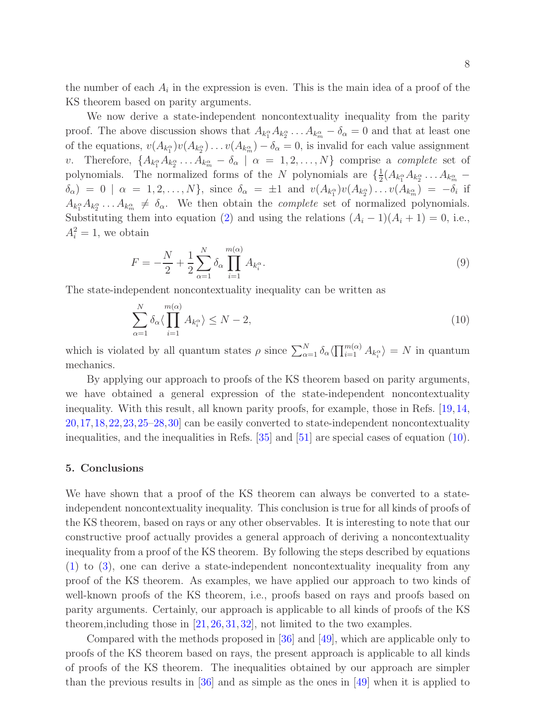the number of each  $A_i$  in the expression is even. This is the main idea of a proof of the KS theorem based on parity arguments.

We now derive a state-independent noncontextuality inequality from the parity proof. The above discussion shows that  $A_{k_1^{\alpha}}A_{k_2^{\alpha}}\ldots A_{k_m^{\alpha}}-\delta_{\alpha}=0$  and that at least one of the equations,  $v(A_{k_1^{\alpha}})v(A_{k_2^{\alpha}})\ldots v(A_{k_m^{\alpha}})-\delta_{\alpha}=0$ , is invalid for each value assignment v. Therefore,  $\{A_{k_1^{\alpha}}A_{k_2^{\alpha}}\ldots A_{k_m^{\alpha}}-\delta_{\alpha} \mid \alpha=1,2,\ldots,N\}$  comprise a *complete* set of polynomials. The normalized forms of the N polynomials are  $\{\frac{1}{2}$  $\frac{1}{2}(A_{k_1^{\alpha}}A_{k_2^{\alpha}}\ldots A_{k_m^{\alpha}} \delta_{\alpha}$  = 0 |  $\alpha = 1, 2, \ldots, N$ , since  $\delta_{\alpha} = \pm 1$  and  $v(A_{k_1^{\alpha}})v(A_{k_2^{\alpha}}) \ldots v(A_{k_m^{\alpha}}) = -\delta_i$  if  $A_{k_1^{\alpha}}A_{k_2^{\alpha}}\ldots A_{k_m^{\alpha}} \neq \delta_{\alpha}$ . We then obtain the *complete* set of normalized polynomials. Substituting them into equation [\(2\)](#page-4-0) and using the relations  $(A_i - 1)(A_i + 1) = 0$ , i.e.,  $A_i^2 = 1$ , we obtain

$$
F = -\frac{N}{2} + \frac{1}{2} \sum_{\alpha=1}^{N} \delta_{\alpha} \prod_{i=1}^{m(\alpha)} A_{k_i^{\alpha}}.
$$
 (9)

The state-independent noncontextuality inequality can be written as

<span id="page-7-0"></span>
$$
\sum_{\alpha=1}^{N} \delta_{\alpha} \langle \prod_{i=1}^{m(\alpha)} A_{k_i^{\alpha}} \rangle \le N - 2, \tag{10}
$$

which is violated by all quantum states  $\rho$  since  $\sum_{\alpha=1}^N \delta_\alpha \langle \prod_{i=1}^{m(\alpha)} A_{k_i^{\alpha}} \rangle = N$  in quantum mechanics.

By applying our approach to proofs of the KS theorem based on parity arguments, we have obtained a general expression of the state-independent noncontextuality inequality. With this result, all known parity proofs, for example, those in Refs. [\[19,](#page-8-11)[14,](#page-8-8) [20,](#page-8-12)[17,](#page-8-15)[18,](#page-8-9)[22,](#page-8-16)[23,](#page-8-17)[25](#page-8-18)[–28,](#page-8-19)[30\]](#page-8-20) can be easily converted to state-independent noncontextuality inequalities, and the inequalities in Refs. [\[35\]](#page-9-3) and [\[51\]](#page-9-6) are special cases of equation [\(10\)](#page-7-0).

# 5. Conclusions

We have shown that a proof of the KS theorem can always be converted to a stateindependent noncontextuality inequality. This conclusion is true for all kinds of proofs of the KS theorem, based on rays or any other observables. It is interesting to note that our constructive proof actually provides a general approach of deriving a noncontextuality inequality from a proof of the KS theorem. By following the steps described by equations [\(1\)](#page-4-1) to [\(3\)](#page-4-2), one can derive a state-independent noncontextuality inequality from any proof of the KS theorem. As examples, we have applied our approach to two kinds of well-known proofs of the KS theorem, i.e., proofs based on rays and proofs based on parity arguments. Certainly, our approach is applicable to all kinds of proofs of the KS theorem,including those in [\[21,](#page-8-21) [26,](#page-8-22) [31,](#page-8-23) [32\]](#page-9-0), not limited to the two examples.

Compared with the methods proposed in [\[36\]](#page-9-4) and [\[49\]](#page-9-5), which are applicable only to proofs of the KS theorem based on rays, the present approach is applicable to all kinds of proofs of the KS theorem. The inequalities obtained by our approach are simpler than the previous results in [\[36\]](#page-9-4) and as simple as the ones in [\[49\]](#page-9-5) when it is applied to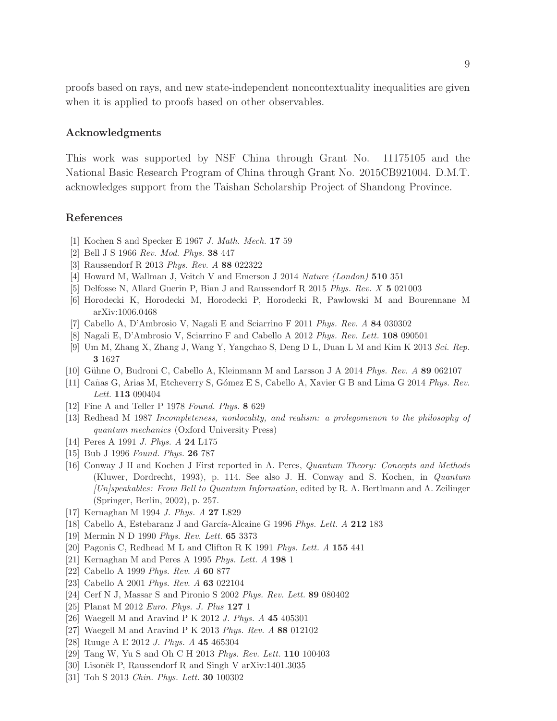proofs based on rays, and new state-independent noncontextuality inequalities are given when it is applied to proofs based on other observables.

# Acknowledgments

This work was supported by NSF China through Grant No. 11175105 and the National Basic Research Program of China through Grant No. 2015CB921004. D.M.T. acknowledges support from the Taishan Scholarship Project of Shandong Province.

#### <span id="page-8-0"></span>References

- <span id="page-8-1"></span>[1] Kochen S and Specker E 1967 *J. Math. Mech.* 17 59
- <span id="page-8-2"></span>[2] Bell J S 1966 *Rev. Mod. Phys.* 38 447
- [3] Raussendorf R 2013 *Phys. Rev. A* 88 022322
- <span id="page-8-3"></span>[4] Howard M, Wallman J, Veitch V and Emerson J 2014 *Nature (London)* 510 351
- <span id="page-8-4"></span>[5] Delfosse N, Allard Guerin P, Bian J and Raussendorf R 2015 *Phys. Rev. X* 5 021003
- [6] Horodecki K, Horodecki M, Horodecki P, Horodecki R, Pawlowski M and Bourennane M arXiv:1006.0468
- [7] Cabello A, D'Ambrosio V, Nagali E and Sciarrino F 2011 *Phys. Rev. A* 84 030302
- [8] Nagali E, D'Ambrosio V, Sciarrino F and Cabello A 2012 *Phys. Rev. Lett.* 108 090501
- [9] Um M, Zhang X, Zhang J, Wang Y, Yangchao S, Deng D L, Duan L M and Kim K 2013 *Sci. Rep.* 3 1627
- <span id="page-8-5"></span>[10] G¨uhne O, Budroni C, Cabello A, Kleinmann M and Larsson J A 2014 *Phys. Rev. A* 89 062107
- <span id="page-8-6"></span>[11] Ca˜nas G, Arias M, Etcheverry S, G´omez E S, Cabello A, Xavier G B and Lima G 2014 *Phys. Rev. Lett.* 113 090404
- <span id="page-8-7"></span>[12] Fine A and Teller P 1978 *Found. Phys.* 8 629
- <span id="page-8-8"></span>[13] Redhead M 1987 *Incompleteness, nonlocality, and realism: a prolegomenon to the philosophy of quantum mechanics* (Oxford University Press)
- [14] Peres A 1991 *J. Phys. A* 24 L175
- <span id="page-8-10"></span>[15] Bub J 1996 *Found. Phys.* 26 787
- [16] Conway J H and Kochen J First reported in A. Peres, *Quantum Theory: Concepts and Methods* (Kluwer, Dordrecht, 1993), p. 114. See also J. H. Conway and S. Kochen, in *Quantum [Un]speakables: From Bell to Quantum Information*, edited by R. A. Bertlmann and A. Zeilinger (Springer, Berlin, 2002), p. 257.
- <span id="page-8-15"></span><span id="page-8-9"></span>[17] Kernaghan M 1994 *J. Phys. A* 27 L829
- <span id="page-8-11"></span>[18] Cabello A, Estebaranz J and García-Alcaine G 1996 *Phys. Lett. A* 212 183
- <span id="page-8-12"></span>[19] Mermin N D 1990 *Phys. Rev. Lett.* 65 3373
- <span id="page-8-21"></span>[20] Pagonis C, Redhead M L and Clifton R K 1991 *Phys. Lett. A* 155 441
- <span id="page-8-16"></span>[21] Kernaghan M and Peres A 1995 *Phys. Lett. A* 198 1
- <span id="page-8-17"></span>[22] Cabello A 1999 *Phys. Rev. A* 60 877
- <span id="page-8-13"></span>[23] Cabello A 2001 *Phys. Rev. A* 63 022104
- <span id="page-8-18"></span>[24] Cerf N J, Massar S and Pironio S 2002 *Phys. Rev. Lett.* 89 080402
- <span id="page-8-22"></span>[25] Planat M 2012 *Euro. Phys. J. Plus* 127 1
- [26] Waegell M and Aravind P K 2012 *J. Phys. A* 45 405301
- <span id="page-8-19"></span>[27] Waegell M and Aravind P K 2013 *Phys. Rev. A* 88 012102
- <span id="page-8-14"></span>[28] Ruuge A E 2012 *J. Phys. A* 45 465304
- <span id="page-8-20"></span>[29] Tang W, Yu S and Oh C H 2013 *Phys. Rev. Lett.* 110 100403
- <span id="page-8-23"></span>[30] Lisoněk P, Raussendorf R and Singh V arXiv:1401.3035
- [31] Toh S 2013 *Chin. Phys. Lett.* 30 100302